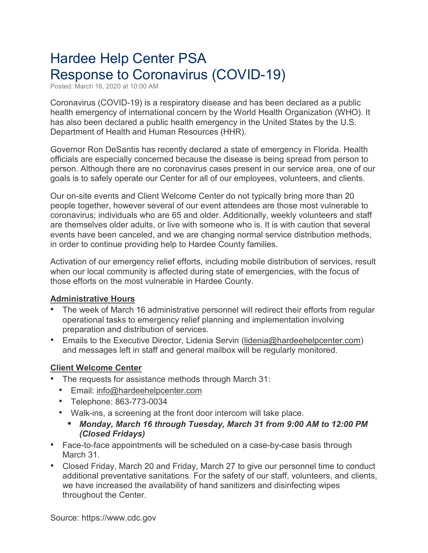# Hardee Help Center PSA Response to Coronavirus (COVID-19)

Posted: March 16, 2020 at 10:00 AM

Coronavirus (COVID-19) is a respiratory disease and has been declared as a public health emergency of international concern by the World Health Organization (WHO). It has also been declared a public health emergency in the United States by the U.S. Department of Health and Human Resources (HHR).

Governor Ron DeSantis has recently declared a state of emergency in Florida. Health officials are especially concerned because the disease is being spread from person to person. Although there are no coronavirus cases present in our service area, one of our goals is to safely operate our Center for all of our employees, volunteers, and clients.

Our on-site events and Client Welcome Center do not typically bring more than 20 people together, however several of our event attendees are those most vulnerable to coronavirus; individuals who are 65 and older. Additionally, weekly volunteers and staff are themselves older adults, or live with someone who is. It is with caution that several events have been canceled, and we are changing normal service distribution methods, in order to continue providing help to Hardee County families.

Activation of our emergency relief efforts, including mobile distribution of services, result when our local community is affected during state of emergencies, with the focus of those efforts on the most vulnerable in Hardee County.

#### **Administrative Hours**

- The week of March 16 administrative personnel will redirect their efforts from regular operational tasks to emergency relief planning and implementation involving preparation and distribution of services.
- Emails to the Executive Director, Lidenia Servin [\(lidenia@hardeehelpcenter.com\)](mailto:lidenia@hardeehelpcenter.com) and messages left in staff and general mailbox will be regularly monitored.

#### **Client Welcome Center**

- The requests for assistance methods through March 31:
	- Email: [info@hardeehelpcenter.com](mailto:info@hardeehelpcenter.com)
	- Telephone: 863-773-0034
	- Walk-ins, a screening at the front door intercom will take place.
		- *• Monday, March 16 through Tuesday, March 31 from 9:00 AM to 12:00 PM (Closed Fridays)*
- Face-to-face appointments will be scheduled on a case-by-case basis through March 31.
- Closed Friday, March 20 and Friday, March 27 to give our personnel time to conduct additional preventative sanitations. For the safety of our staff, volunteers, and clients, we have increased the availability of hand sanitizers and disinfecting wipes throughout the Center.